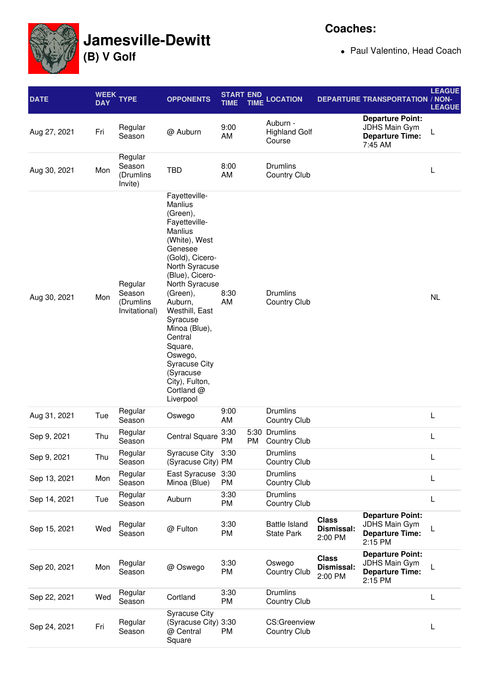

## **Jamesville-Dewitt**

**(B) V Golf**

Paul Valentino, Head Coach

| <b>DATE</b>  | <b>WEEK</b><br><b>DAY</b> | <b>YPE</b>                                      | <b>OPPONENTS</b>                                                                                                                                                                                                                                                                                                                                                       | <b>START END</b><br><b>TIME</b> | <b>TIME</b> | <b>LOCATION</b>                            |                                       | <b>DEPARTURE TRANSPORTATION / NON-</b>                                               | <b>LEAGUE</b><br><b>LEAGUE</b> |
|--------------|---------------------------|-------------------------------------------------|------------------------------------------------------------------------------------------------------------------------------------------------------------------------------------------------------------------------------------------------------------------------------------------------------------------------------------------------------------------------|---------------------------------|-------------|--------------------------------------------|---------------------------------------|--------------------------------------------------------------------------------------|--------------------------------|
| Aug 27, 2021 | Fri                       | Regular<br>Season                               | @ Auburn                                                                                                                                                                                                                                                                                                                                                               | 9:00<br>AM                      |             | Auburn -<br><b>Highland Golf</b><br>Course |                                       | <b>Departure Point:</b><br><b>JDHS Main Gym</b><br><b>Departure Time:</b><br>7:45 AM | L                              |
| Aug 30, 2021 | Mon                       | Regular<br>Season<br>(Drumlins<br>Invite)       | <b>TBD</b>                                                                                                                                                                                                                                                                                                                                                             | 8:00<br>AM                      |             | <b>Drumlins</b><br><b>Country Club</b>     |                                       |                                                                                      | L                              |
| Aug 30, 2021 | Mon                       | Regular<br>Season<br>(Drumlins<br>Invitational) | Fayetteville-<br>Manlius<br>(Green),<br>Fayetteville-<br><b>Manlius</b><br>(White), West<br>Genesee<br>(Gold), Cicero-<br>North Syracuse<br>(Blue), Cicero-<br>North Syracuse<br>(Green),<br>Auburn,<br>Westhill, East<br>Syracuse<br>Minoa (Blue),<br>Central<br>Square,<br>Oswego,<br><b>Syracuse City</b><br>(Syracuse<br>City), Fulton,<br>Cortland @<br>Liverpool | 8:30<br>AM                      |             | <b>Drumlins</b><br><b>Country Club</b>     |                                       |                                                                                      | <b>NL</b>                      |
| Aug 31, 2021 | Tue                       | Regular<br>Season                               | Oswego                                                                                                                                                                                                                                                                                                                                                                 | 9:00<br>AM                      |             | <b>Drumlins</b><br><b>Country Club</b>     |                                       |                                                                                      | L                              |
| Sep 9, 2021  | Thu                       | Regular<br>Season                               | <b>Central Square</b>                                                                                                                                                                                                                                                                                                                                                  | 3:30<br>PM                      | PM          | 5:30 Drumlins<br><b>Country Club</b>       |                                       |                                                                                      | L                              |
| Sep 9, 2021  | Thu                       | Regular<br>Season                               | Syracuse City 3:30<br>(Syracuse City) PM                                                                                                                                                                                                                                                                                                                               |                                 |             | <b>Drumlins</b><br><b>Country Club</b>     |                                       |                                                                                      | L                              |
| Sep 13, 2021 | Mon                       | Regular<br>Season                               | East Syracuse<br>Minoa (Blue)                                                                                                                                                                                                                                                                                                                                          | 3:30<br>PM                      |             | <b>Drumlins</b><br><b>Country Club</b>     |                                       |                                                                                      | L                              |
| Sep 14, 2021 | Tue                       | Regular<br>Season                               | Auburn                                                                                                                                                                                                                                                                                                                                                                 | 3:30<br>PM                      |             | <b>Drumlins</b><br><b>Country Club</b>     |                                       |                                                                                      | L                              |
| Sep 15, 2021 | Wed                       | Regular<br>Season                               | @ Fulton                                                                                                                                                                                                                                                                                                                                                               | 3:30<br>PM                      |             | <b>Battle Island</b><br><b>State Park</b>  | <b>Class</b><br>Dismissal:<br>2:00 PM | <b>Departure Point:</b><br>JDHS Main Gym<br><b>Departure Time:</b><br>2:15 PM        |                                |
| Sep 20, 2021 | Mon                       | Regular<br>Season                               | @ Oswego                                                                                                                                                                                                                                                                                                                                                               | 3:30<br>PM                      |             | Oswego<br><b>Country Club</b>              | <b>Class</b><br>Dismissal:<br>2:00 PM | <b>Departure Point:</b><br>JDHS Main Gym<br><b>Departure Time:</b><br>2:15 PM        | L                              |
| Sep 22, 2021 | Wed                       | Regular<br>Season                               | Cortland                                                                                                                                                                                                                                                                                                                                                               | 3:30<br>PM                      |             | <b>Drumlins</b><br><b>Country Club</b>     |                                       |                                                                                      | L                              |
| Sep 24, 2021 | Fri                       | Regular<br>Season                               | <b>Syracuse City</b><br>(Syracuse City) 3:30<br>@ Central<br>Square                                                                                                                                                                                                                                                                                                    | PM                              |             | CS:Greenview<br><b>Country Club</b>        |                                       |                                                                                      | L                              |